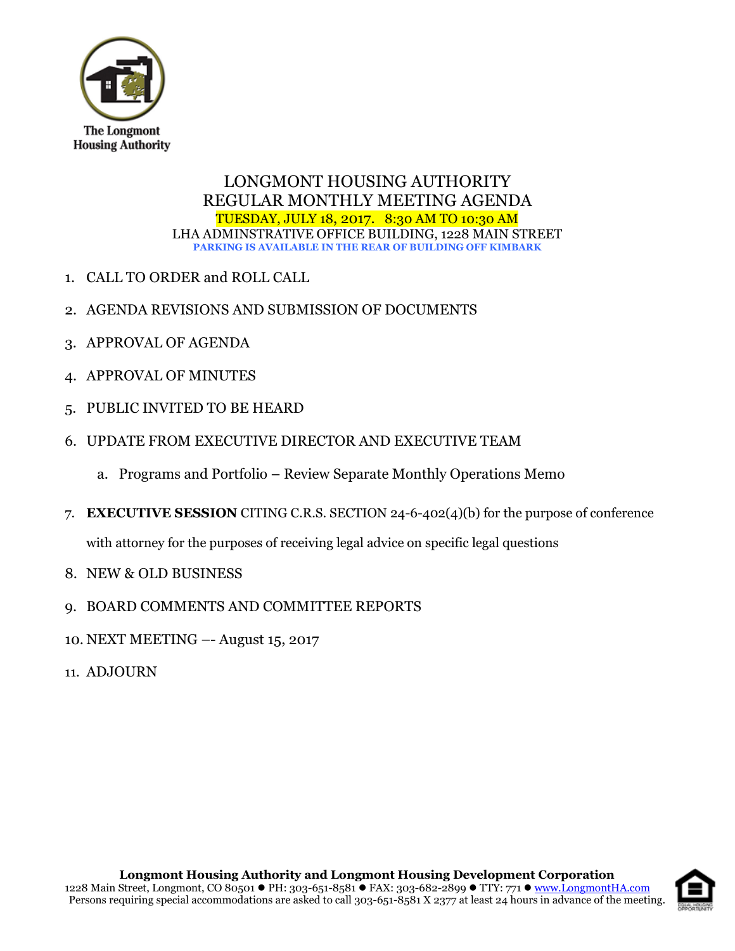

# LONGMONT HOUSING AUTHORITY REGULAR MONTHLY MEETING AGENDA TUESDAY, JULY 18, 2017. 8:30 AM TO 10:30 AM LHA ADMINSTRATIVE OFFICE BUILDING, 1228 MAIN STREET **PARKING IS AVAILABLE IN THE REAR OF BUILDING OFF KIMBARK**

- 1. CALL TO ORDER and ROLL CALL
- 2. AGENDA REVISIONS AND SUBMISSION OF DOCUMENTS
- 3. APPROVAL OF AGENDA
- 4. APPROVAL OF MINUTES
- 5. PUBLIC INVITED TO BE HEARD
- 6. UPDATE FROM EXECUTIVE DIRECTOR AND EXECUTIVE TEAM
	- a. Programs and Portfolio Review Separate Monthly Operations Memo
- 7. **EXECUTIVE SESSION** CITING C.R.S. SECTION 24-6-402(4)(b) for the purpose of conference

with attorney for the purposes of receiving legal advice on specific legal questions

- 8. NEW & OLD BUSINESS
- 9. BOARD COMMENTS AND COMMITTEE REPORTS
- 10. NEXT MEETING –- August 15, 2017
- 11. ADJOURN

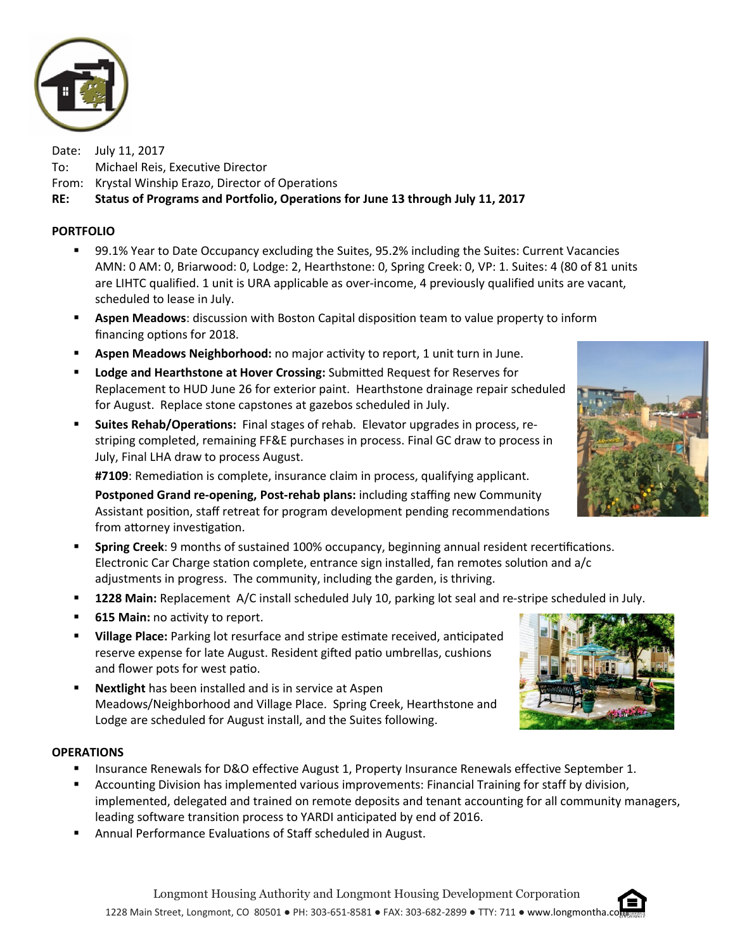

Date: July 11, 2017 To: Michael Reis, Executive Director From: Krystal Winship Erazo, Director of Operations RE: Status of Programs and Portfolio, Operations for June 13 through July 11, 2017

## PORTFOLIO

- 99.1% Year to Date Occupancy excluding the Suites, 95.2% including the Suites: Current Vacancies AMN: 0 AM: 0, Briarwood: 0, Lodge: 2, Hearthstone: 0, Spring Creek: 0, VP: 1. Suites: 4 (80 of 81 units are LIHTC qualified. 1 unit is URA applicable as over-income, 4 previously qualified units are vacant, scheduled to lease in July.
- **Aspen Meadows:** discussion with Boston Capital disposition team to value property to inform financing options for 2018.
- **Aspen Meadows Neighborhood:** no major activity to report, 1 unit turn in June.
- **Lodge and Hearthstone at Hover Crossing:** Submitted Request for Reserves for Replacement to HUD June 26 for exterior paint. Hearthstone drainage repair scheduled for August. Replace stone capstones at gazebos scheduled in July.
- **Suites Rehab/Operations:** Final stages of rehab. Elevator upgrades in process, restriping completed, remaining FF&E purchases in process. Final GC draw to process in July, Final LHA draw to process August.

#7109: Remediation is complete, insurance claim in process, qualifying applicant.

Postponed Grand re-opening, Post-rehab plans: including staffing new Community Assistant position, staff retreat for program development pending recommendations from attorney investigation.

- **Spring Creek**: 9 months of sustained 100% occupancy, beginning annual resident recertifications. Electronic Car Charge station complete, entrance sign installed, fan remotes solution and  $a/c$ adjustments in progress. The community, including the garden, is thriving.
- **1228 Main:** Replacement A/C install scheduled July 10, parking lot seal and re-stripe scheduled in July.
- $\blacksquare$  615 Main: no activity to report.
- **Uillage Place:** Parking lot resurface and stripe estimate received, anticipated reserve expense for late August. Resident gifted patio umbrellas, cushions and flower pots for west patio.
- **Nextlight** has been installed and is in service at Aspen Meadows/Neighborhood and Village Place. Spring Creek, Hearthstone and Lodge are scheduled for August install, and the Suites following.

#### **OPERATIONS**

- **Insurance Renewals for D&O effective August 1, Property Insurance Renewals effective September 1.**
- Accounting Division has implemented various improvements: Financial Training for staff by division, implemented, delegated and trained on remote deposits and tenant accounting for all community managers, leading software transition process to YARDI anticipated by end of 2016.
- Annual Performance Evaluations of Staff scheduled in August.